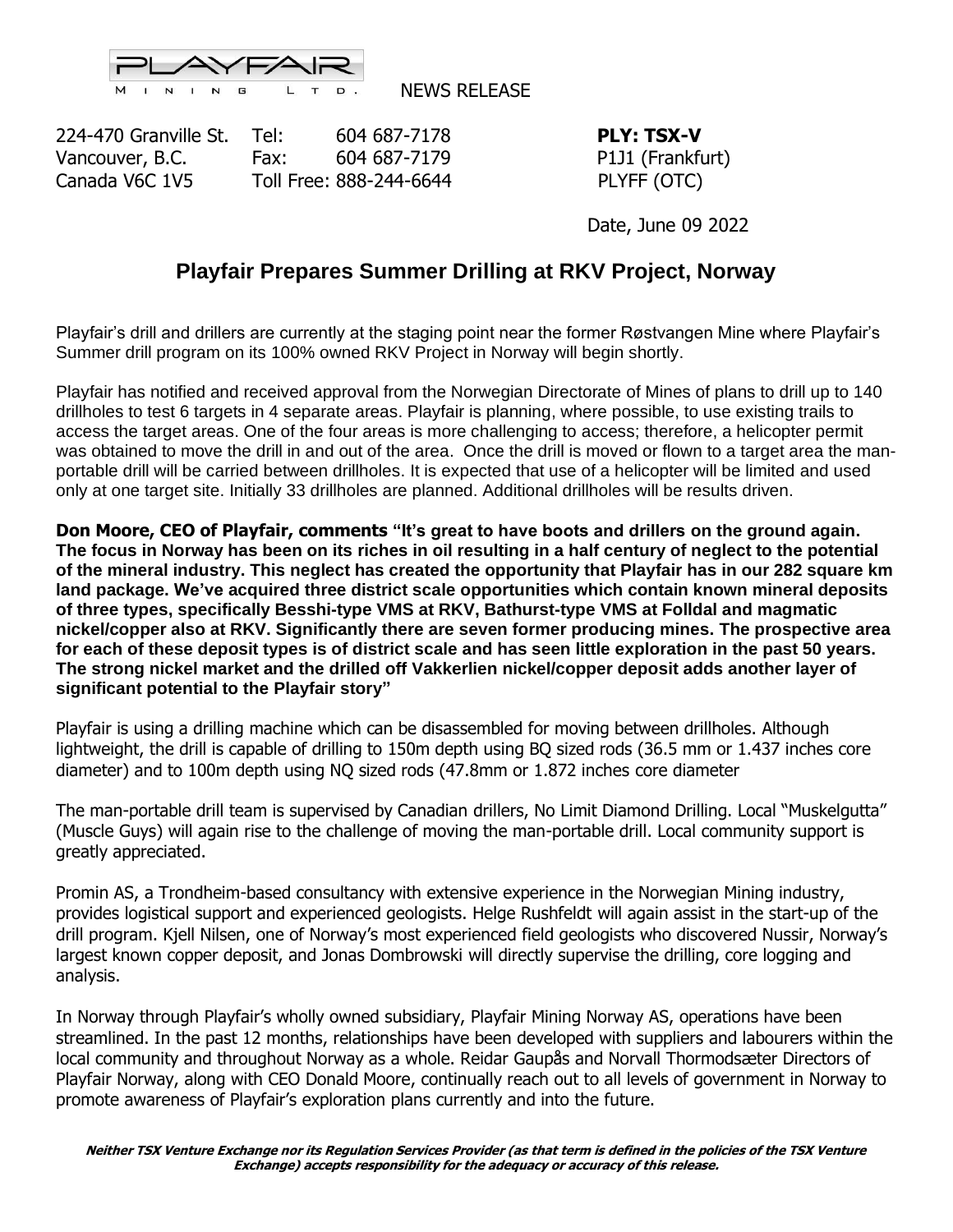

NEWS RELEASE

224-470 Granville St. Tel: 604 687-7178 **PLY: TSX-V** Vancouver, B.C. Fax: 604 687-7179 P1J1 (Frankfurt) Canada V6C 1V5 Toll Free: 888-244-6644 PLYFF (OTC)

Date, June 09 2022

## **Playfair Prepares Summer Drilling at RKV Project, Norway**

Playfair's drill and drillers are currently at the staging point near the former Røstvangen Mine where Playfair's Summer drill program on its 100% owned RKV Project in Norway will begin shortly.

Playfair has notified and received approval from the Norwegian Directorate of Mines of plans to drill up to 140 drillholes to test 6 targets in 4 separate areas. Playfair is planning, where possible, to use existing trails to access the target areas. One of the four areas is more challenging to access; therefore, a helicopter permit was obtained to move the drill in and out of the area. Once the drill is moved or flown to a target area the manportable drill will be carried between drillholes. It is expected that use of a helicopter will be limited and used only at one target site. Initially 33 drillholes are planned. Additional drillholes will be results driven.

**Don Moore, CEO of Playfair, comments "It's great to have boots and drillers on the ground again. The focus in Norway has been on its riches in oil resulting in a half century of neglect to the potential of the mineral industry. This neglect has created the opportunity that Playfair has in our 282 square km land package. We've acquired three district scale opportunities which contain known mineral deposits of three types, specifically Besshi-type VMS at RKV, Bathurst-type VMS at Folldal and magmatic nickel/copper also at RKV. Significantly there are seven former producing mines. The prospective area for each of these deposit types is of district scale and has seen little exploration in the past 50 years. The strong nickel market and the drilled off Vakkerlien nickel/copper deposit adds another layer of significant potential to the Playfair story"**

Playfair is using a drilling machine which can be disassembled for moving between drillholes. Although lightweight, the drill is capable of drilling to 150m depth using BQ sized rods (36.5 mm or 1.437 inches core diameter) and to 100m depth using NQ sized rods (47.8mm or 1.872 inches core diameter

The man-portable drill team is supervised by Canadian drillers, No Limit Diamond Drilling. Local "Muskelgutta" (Muscle Guys) will again rise to the challenge of moving the man-portable drill. Local community support is greatly appreciated.

Promin AS, a Trondheim-based consultancy with extensive experience in the Norwegian Mining industry, provides logistical support and experienced geologists. Helge Rushfeldt will again assist in the start-up of the drill program. Kjell Nilsen, one of Norway's most experienced field geologists who discovered Nussir, Norway's largest known copper deposit, and Jonas Dombrowski will directly supervise the drilling, core logging and analysis.

In Norway through Playfair's wholly owned subsidiary, Playfair Mining Norway AS, operations have been streamlined. In the past 12 months, relationships have been developed with suppliers and labourers within the local community and throughout Norway as a whole. Reidar Gaupås and Norvall Thormodsæter Directors of Playfair Norway, along with CEO Donald Moore, continually reach out to all levels of government in Norway to promote awareness of Playfair's exploration plans currently and into the future.